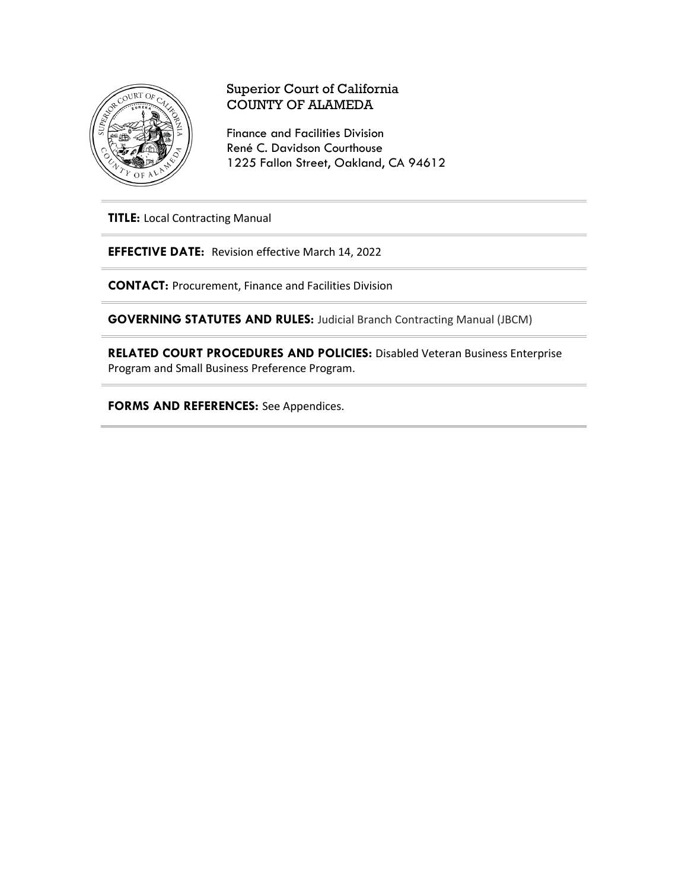

# Superior Court of California COUNTY OF ALAMEDA

Finance and Facilities Division René C. Davidson Courthouse 1225 Fallon Street, Oakland, CA 94612

**TITLE:** Local Contracting Manual

**EFFECTIVE DATE:** Revision effective March 14, 2022

**CONTACT:** Procurement, Finance and Facilities Division

**GOVERNING STATUTES AND RULES:** Judicial Branch Contracting Manual (JBCM)

**RELATED COURT PROCEDURES AND POLICIES:** Disabled Veteran Business Enterprise Program and Small Business Preference Program.

**FORMS AND REFERENCES:** See Appendices.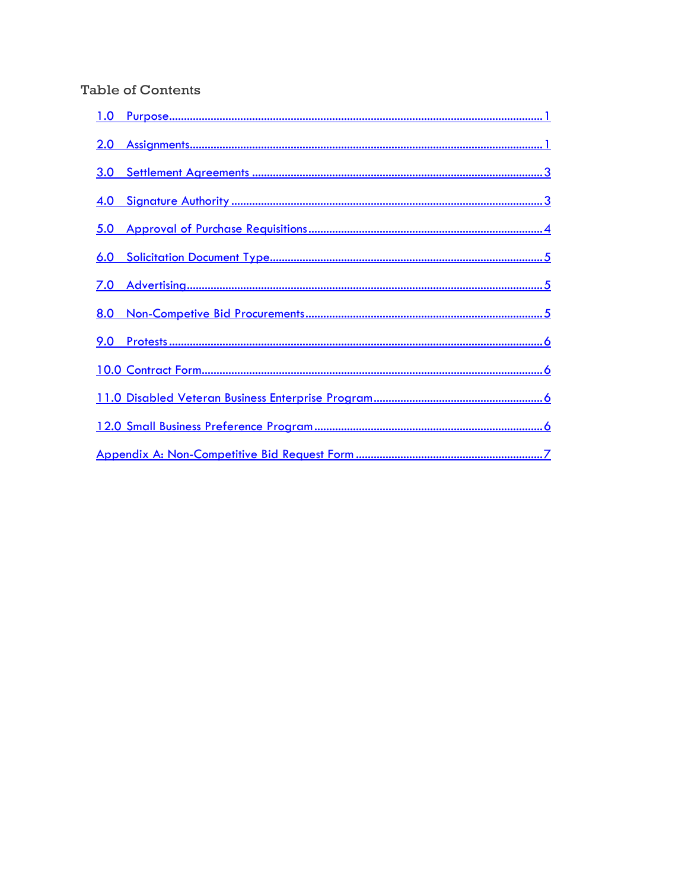# **Table of Contents**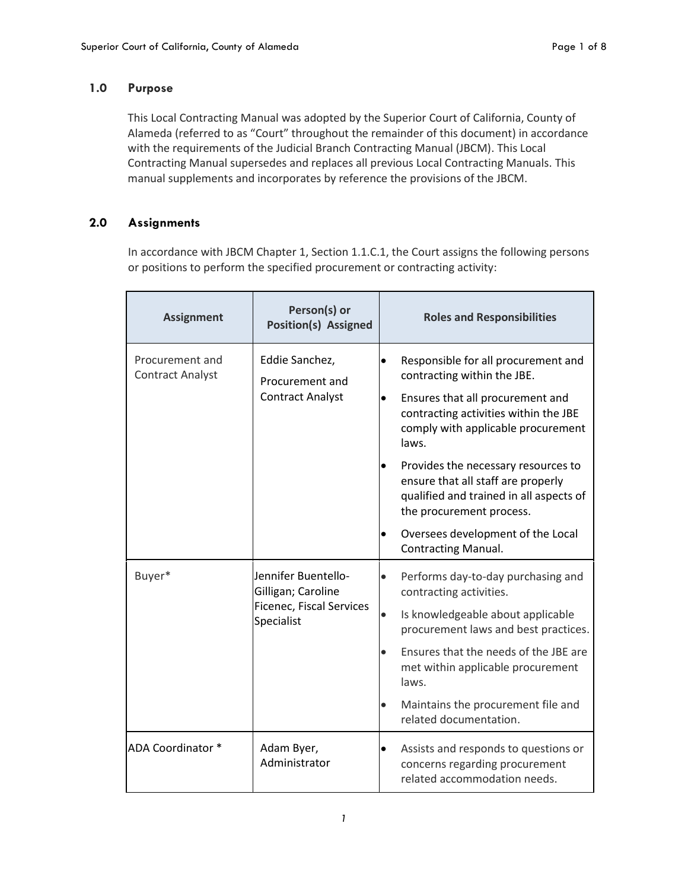## <span id="page-2-0"></span>**1.0 Purpose**

This Local Contracting Manual was adopted by the Superior Court of California, County of Alameda (referred to as "Court" throughout the remainder of this document) in accordance with the requirements of the Judicial Branch Contracting Manual (JBCM). This Local Contracting Manual supersedes and replaces all previous Local Contracting Manuals. This manual supplements and incorporates by reference the provisions of the JBCM.

## <span id="page-2-1"></span>**2.0 Assignments**

In accordance with JBCM Chapter 1, Section 1.1.C.1, the Court assigns the following persons or positions to perform the specified procurement or contracting activity:

| <b>Assignment</b>                          | Person(s) or<br><b>Position(s) Assigned</b>                                                |           | <b>Roles and Responsibilities</b>                                                                                                                |
|--------------------------------------------|--------------------------------------------------------------------------------------------|-----------|--------------------------------------------------------------------------------------------------------------------------------------------------|
| Procurement and<br><b>Contract Analyst</b> | Eddie Sanchez,<br>Procurement and<br><b>Contract Analyst</b>                               | $\bullet$ | Responsible for all procurement and<br>contracting within the JBE.                                                                               |
|                                            |                                                                                            |           | Ensures that all procurement and<br>contracting activities within the JBE<br>comply with applicable procurement<br>laws.                         |
|                                            |                                                                                            |           | Provides the necessary resources to<br>ensure that all staff are properly<br>qualified and trained in all aspects of<br>the procurement process. |
|                                            |                                                                                            | $\bullet$ | Oversees development of the Local<br><b>Contracting Manual.</b>                                                                                  |
| Buyer*                                     | Jennifer Buentello-<br>Gilligan; Caroline<br><b>Ficenec, Fiscal Services</b><br>Specialist | $\bullet$ | Performs day-to-day purchasing and<br>contracting activities.                                                                                    |
|                                            |                                                                                            | $\bullet$ | Is knowledgeable about applicable<br>procurement laws and best practices.                                                                        |
|                                            |                                                                                            | $\bullet$ | Ensures that the needs of the JBE are<br>met within applicable procurement<br>laws.                                                              |
|                                            |                                                                                            | $\bullet$ | Maintains the procurement file and<br>related documentation.                                                                                     |
| ADA Coordinator *                          | Adam Byer,<br>Administrator                                                                | $\bullet$ | Assists and responds to questions or<br>concerns regarding procurement<br>related accommodation needs.                                           |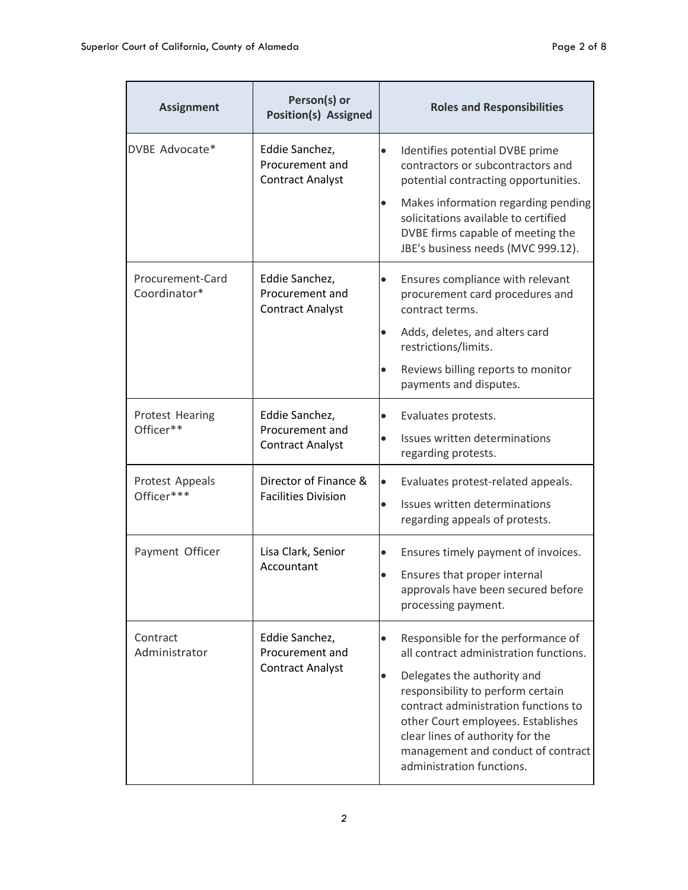| <b>Assignment</b>                                                                                             | Person(s) or<br><b>Position(s) Assigned</b>                  | <b>Roles and Responsibilities</b>                                                                                                                                                                                                                                  |  |
|---------------------------------------------------------------------------------------------------------------|--------------------------------------------------------------|--------------------------------------------------------------------------------------------------------------------------------------------------------------------------------------------------------------------------------------------------------------------|--|
| DVBE Advocate*                                                                                                | Eddie Sanchez,<br>Procurement and<br><b>Contract Analyst</b> | Identifies potential DVBE prime<br>$\bullet$<br>contractors or subcontractors and<br>potential contracting opportunities.                                                                                                                                          |  |
|                                                                                                               |                                                              | Makes information regarding pending<br>$\bullet$<br>solicitations available to certified<br>DVBE firms capable of meeting the<br>JBE's business needs (MVC 999.12).                                                                                                |  |
| Procurement-Card<br>Eddie Sanchez,<br>$\bullet$<br>Coordinator*<br>Procurement and<br><b>Contract Analyst</b> |                                                              | Ensures compliance with relevant<br>procurement card procedures and<br>contract terms.                                                                                                                                                                             |  |
|                                                                                                               |                                                              | Adds, deletes, and alters card<br>$\bullet$<br>restrictions/limits.                                                                                                                                                                                                |  |
|                                                                                                               |                                                              | Reviews billing reports to monitor<br>$\bullet$<br>payments and disputes.                                                                                                                                                                                          |  |
| Protest Hearing                                                                                               | Eddie Sanchez,<br>Procurement and<br><b>Contract Analyst</b> | Evaluates protests.<br>$\bullet$                                                                                                                                                                                                                                   |  |
| Officer**                                                                                                     |                                                              | Issues written determinations<br>$\bullet$<br>regarding protests.                                                                                                                                                                                                  |  |
| Protest Appeals<br>Officer***                                                                                 | Director of Finance &<br><b>Facilities Division</b>          | Evaluates protest-related appeals.<br>$\bullet$                                                                                                                                                                                                                    |  |
|                                                                                                               |                                                              | Issues written determinations<br>$\bullet$<br>regarding appeals of protests.                                                                                                                                                                                       |  |
| Payment Officer                                                                                               | Lisa Clark, Senior<br>Accountant                             | Ensures timely payment of invoices.<br>$\bullet$                                                                                                                                                                                                                   |  |
|                                                                                                               |                                                              | Ensures that proper internal<br>$\bullet$<br>approvals have been secured before<br>processing payment.                                                                                                                                                             |  |
| Contract<br>Administrator                                                                                     | Eddie Sanchez,<br>Procurement and<br><b>Contract Analyst</b> | Responsible for the performance of<br>$\bullet$<br>all contract administration functions.                                                                                                                                                                          |  |
|                                                                                                               |                                                              | Delegates the authority and<br>$\bullet$<br>responsibility to perform certain<br>contract administration functions to<br>other Court employees. Establishes<br>clear lines of authority for the<br>management and conduct of contract<br>administration functions. |  |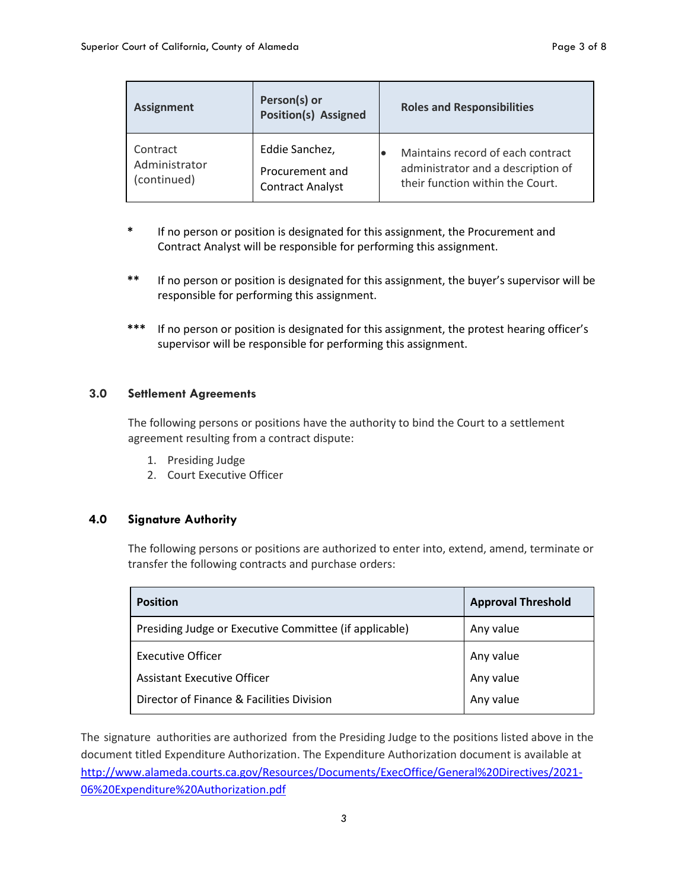| <b>Assignment</b> | Person(s) or<br><b>Position(s) Assigned</b> | <b>Roles and Responsibilities</b>  |
|-------------------|---------------------------------------------|------------------------------------|
| Contract          | Eddie Sanchez,                              | Maintains record of each contract  |
| Administrator     | Procurement and                             | administrator and a description of |
| (continued)       | <b>Contract Analyst</b>                     | their function within the Court.   |

- **\*** If no person or position is designated for this assignment, the Procurement and Contract Analyst will be responsible for performing this assignment.
- **\*\*** If no person or position is designated for this assignment, the buyer's supervisor will be responsible for performing this assignment.
- **\*\*\*** If no person or position is designated for this assignment, the protest hearing officer's supervisor will be responsible for performing this assignment.

### <span id="page-4-0"></span>**3.0 Settlement Agreements**

The following persons or positions have the authority to bind the Court to a settlement agreement resulting from a contract dispute:

- 1. Presiding Judge
- 2. Court Executive Officer

### <span id="page-4-1"></span>**4.0 Signature Authority**

The following persons or positions are authorized to enter into, extend, amend, terminate or transfer the following contracts and purchase orders:

| <b>Position</b>                                        | <b>Approval Threshold</b> |
|--------------------------------------------------------|---------------------------|
| Presiding Judge or Executive Committee (if applicable) | Any value                 |
| <b>Executive Officer</b>                               | Any value                 |
| Assistant Executive Officer                            | Any value                 |
| Director of Finance & Facilities Division              | Any value                 |

The signature authorities are authorized from the Presiding Judge to the positions listed above in the document titled Expenditure Authorization. The Expenditure Authorization document is available at [http://www.alameda.courts.ca.gov/Resources/Documents/ExecOffice/General%20Directives/2021-](http://www.alameda.courts.ca.gov/Resources/Documents/ExecOffice/General%20Directives/2021-06%20Expenditure%20Authorization.pdf) [06%20Expenditure%20Authorization.pdf](http://www.alameda.courts.ca.gov/Resources/Documents/ExecOffice/General%20Directives/2021-06%20Expenditure%20Authorization.pdf)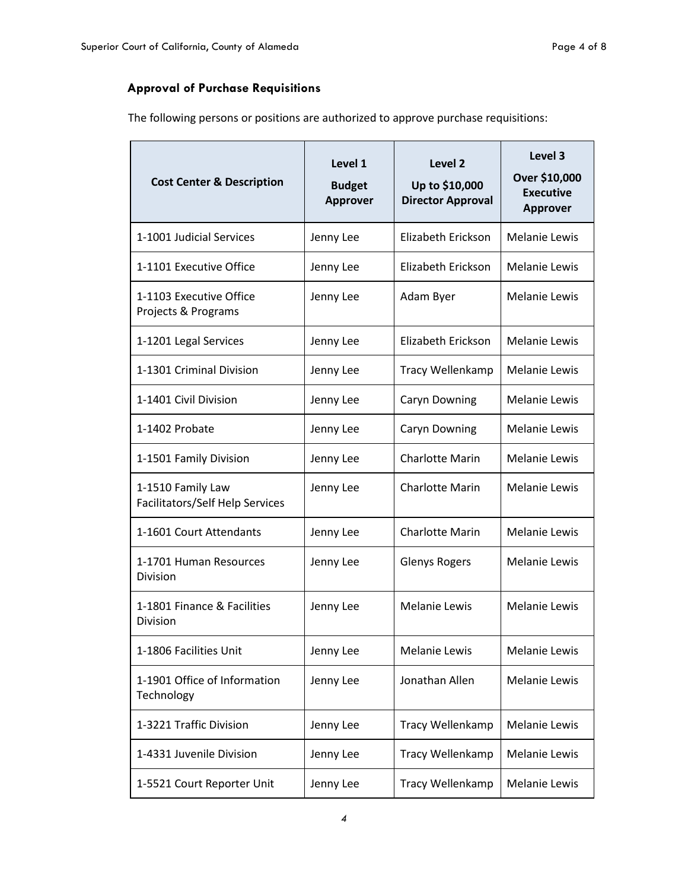# <span id="page-5-0"></span>**Approval of Purchase Requisitions**

The following persons or positions are authorized to approve purchase requisitions:

| <b>Cost Center &amp; Description</b>                 | Level 1<br><b>Budget</b><br><b>Approver</b> | Level 2<br>Up to \$10,000<br><b>Director Approval</b> | Level 3<br>Over \$10,000<br><b>Executive</b><br><b>Approver</b> |
|------------------------------------------------------|---------------------------------------------|-------------------------------------------------------|-----------------------------------------------------------------|
| 1-1001 Judicial Services                             | Jenny Lee                                   | Elizabeth Erickson                                    | <b>Melanie Lewis</b>                                            |
| 1-1101 Executive Office                              | Jenny Lee                                   | Elizabeth Erickson                                    | <b>Melanie Lewis</b>                                            |
| 1-1103 Executive Office<br>Projects & Programs       | Jenny Lee                                   | Adam Byer                                             | <b>Melanie Lewis</b>                                            |
| 1-1201 Legal Services                                | Jenny Lee                                   | Elizabeth Erickson                                    | <b>Melanie Lewis</b>                                            |
| 1-1301 Criminal Division                             | Jenny Lee                                   | Tracy Wellenkamp                                      | <b>Melanie Lewis</b>                                            |
| 1-1401 Civil Division                                | Jenny Lee                                   | <b>Caryn Downing</b>                                  | Melanie Lewis                                                   |
| 1-1402 Probate                                       | Jenny Lee                                   | Caryn Downing                                         | <b>Melanie Lewis</b>                                            |
| 1-1501 Family Division                               | Jenny Lee                                   | <b>Charlotte Marin</b>                                | <b>Melanie Lewis</b>                                            |
| 1-1510 Family Law<br>Facilitators/Self Help Services | Jenny Lee                                   | Charlotte Marin                                       | <b>Melanie Lewis</b>                                            |
| 1-1601 Court Attendants                              | Jenny Lee                                   | <b>Charlotte Marin</b>                                | <b>Melanie Lewis</b>                                            |
| 1-1701 Human Resources<br><b>Division</b>            | Jenny Lee                                   | <b>Glenys Rogers</b>                                  | <b>Melanie Lewis</b>                                            |
| 1-1801 Finance & Facilities<br>Division              | Jenny Lee                                   | <b>Melanie Lewis</b>                                  | <b>Melanie Lewis</b>                                            |
| 1-1806 Facilities Unit                               | Jenny Lee                                   | Melanie Lewis                                         | Melanie Lewis                                                   |
| 1-1901 Office of Information<br>Technology           | Jenny Lee                                   | Jonathan Allen                                        | <b>Melanie Lewis</b>                                            |
| 1-3221 Traffic Division                              | Jenny Lee                                   | Tracy Wellenkamp                                      | Melanie Lewis                                                   |
| 1-4331 Juvenile Division                             | Jenny Lee                                   | Tracy Wellenkamp                                      | <b>Melanie Lewis</b>                                            |
| 1-5521 Court Reporter Unit                           | Jenny Lee                                   | Tracy Wellenkamp                                      | <b>Melanie Lewis</b>                                            |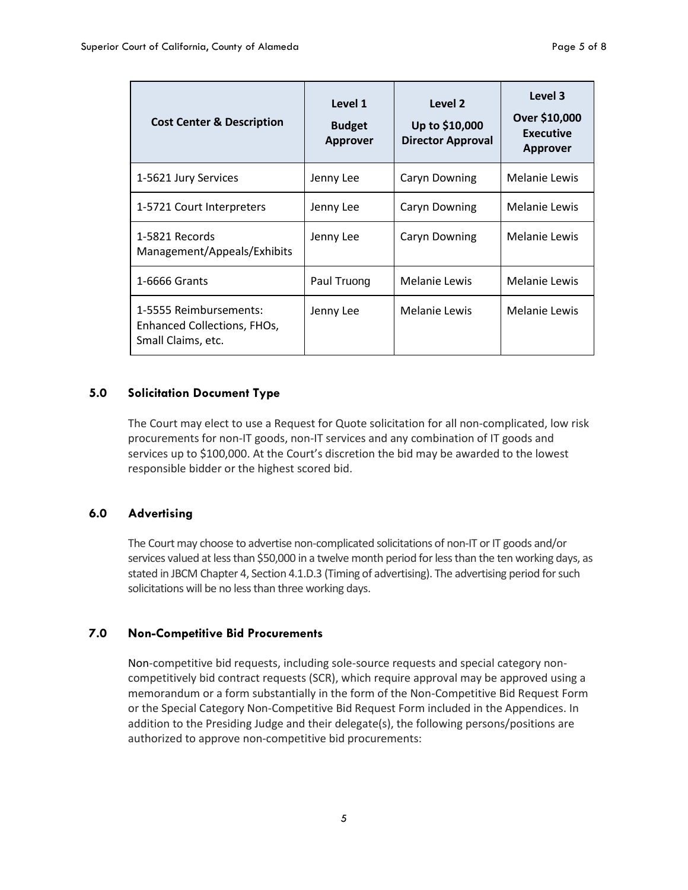| <b>Cost Center &amp; Description</b>                                        | Level 1<br><b>Budget</b><br><b>Approver</b> | Level 2<br>Up to \$10,000<br><b>Director Approval</b> | Level 3<br>Over \$10,000<br><b>Executive</b><br><b>Approver</b> |
|-----------------------------------------------------------------------------|---------------------------------------------|-------------------------------------------------------|-----------------------------------------------------------------|
| 1-5621 Jury Services                                                        | Jenny Lee                                   | <b>Caryn Downing</b>                                  | Melanie Lewis                                                   |
| 1-5721 Court Interpreters                                                   | Jenny Lee                                   | <b>Caryn Downing</b>                                  | Melanie Lewis                                                   |
| 1-5821 Records<br>Management/Appeals/Exhibits                               | Jenny Lee                                   | Caryn Downing                                         | Melanie Lewis                                                   |
| 1-6666 Grants                                                               | Paul Truong                                 | Melanie Lewis                                         | Melanie Lewis                                                   |
| 1-5555 Reimbursements:<br>Enhanced Collections, FHOs,<br>Small Claims, etc. | Jenny Lee                                   | Melanie Lewis                                         | Melanie Lewis                                                   |

#### <span id="page-6-0"></span>**5.0 Solicitation Document Type**

The Court may elect to use a Request for Quote solicitation for all non-complicated, low risk procurements for non-IT goods, non-IT services and any combination of IT goods and services up to \$100,000. At the Court's discretion the bid may be awarded to the lowest responsible bidder or the highest scored bid.

## <span id="page-6-1"></span>**6.0 Advertising**

The Court may choose to advertise non-complicated solicitations of non-IT or IT goods and/or services valued at less than \$50,000 in a twelve month period for less than the ten working days, as stated in JBCM Chapter 4, Section 4.1.D.3 (Timing of advertising). The advertising period for such solicitations will be no less than three working days.

### <span id="page-6-2"></span>**7.0 Non-Competitive Bid Procurements**

Non-competitive bid requests, including sole-source requests and special category noncompetitively bid contract requests (SCR), which require approval may be approved using a memorandum or a form substantially in the form of the Non-Competitive Bid Request Form or the Special Category Non-Competitive Bid Request Form included in the Appendices. In addition to the Presiding Judge and their delegate(s), the following persons/positions are authorized to approve non-competitive bid procurements: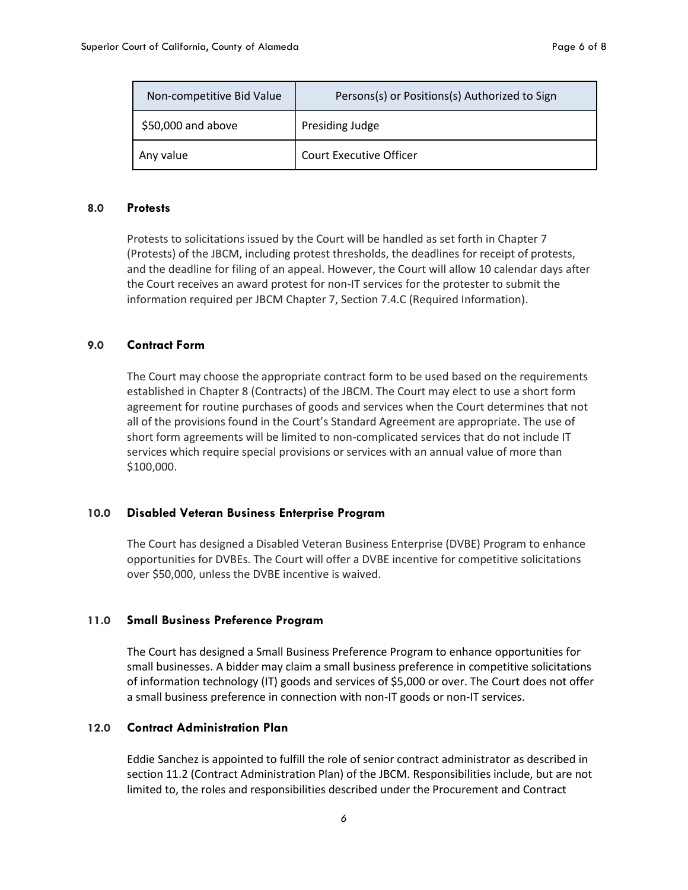| Non-competitive Bid Value | Persons(s) or Positions(s) Authorized to Sign |
|---------------------------|-----------------------------------------------|
| \$50,000 and above        | Presiding Judge                               |
| Any value                 | <b>Court Executive Officer</b>                |

#### <span id="page-7-0"></span>**8.0 Protests**

Protests to solicitations issued by the Court will be handled as set forth in Chapter 7 (Protests) of the JBCM, including protest thresholds, the deadlines for receipt of protests, and the deadline for filing of an appeal. However, the Court will allow 10 calendar days after the Court receives an award protest for non-IT services for the protester to submit the information required per JBCM Chapter 7, Section 7.4.C (Required Information).

### <span id="page-7-1"></span>**9.0 Contract Form**

The Court may choose the appropriate contract form to be used based on the requirements established in Chapter 8 (Contracts) of the JBCM. The Court may elect to use a short form agreement for routine purchases of goods and services when the Court determines that not all of the provisions found in the Court's Standard Agreement are appropriate. The use of short form agreements will be limited to non-complicated services that do not include IT services which require special provisions or services with an annual value of more than \$100,000.

#### <span id="page-7-2"></span>**10.0 Disabled Veteran Business Enterprise Program**

The Court has designed a Disabled Veteran Business Enterprise (DVBE) Program to enhance opportunities for DVBEs. The Court will offer a DVBE incentive for competitive solicitations over \$50,000, unless the DVBE incentive is waived.

#### <span id="page-7-3"></span>**11.0 Small Business Preference Program**

The Court has designed a Small Business Preference Program to enhance opportunities for small businesses. A bidder may claim a small business preference in competitive solicitations of information technology (IT) goods and services of \$5,000 or over. The Court does not offer a small business preference in connection with non-IT goods or non-IT services.

#### **12.0 Contract Administration Plan**

Eddie Sanchez is appointed to fulfill the role of senior contract administrator as described in section 11.2 (Contract Administration Plan) of the JBCM. Responsibilities include, but are not limited to, the roles and responsibilities described under the Procurement and Contract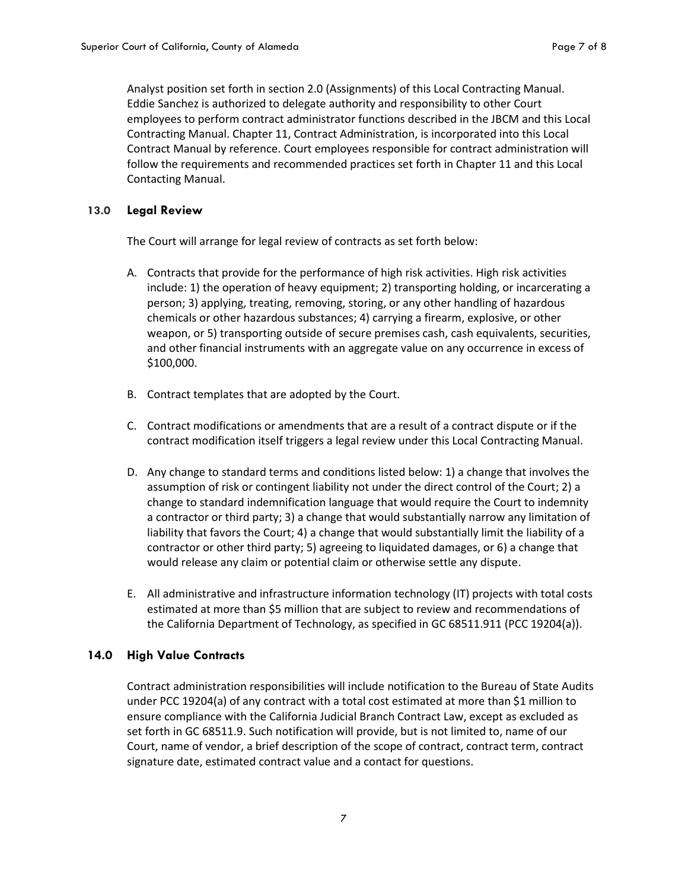Analyst position set forth in section 2.0 (Assignments) of this Local Contracting Manual. Eddie Sanchez is authorized to delegate authority and responsibility to other Court employees to perform contract administrator functions described in the JBCM and this Local Contracting Manual. Chapter 11, Contract Administration, is incorporated into this Local Contract Manual by reference. Court employees responsible for contract administration will follow the requirements and recommended practices set forth in Chapter 11 and this Local Contacting Manual.

#### **13.0 Legal Review**

The Court will arrange for legal review of contracts as set forth below:

- A. Contracts that provide for the performance of high risk activities. High risk activities include: 1) the operation of heavy equipment; 2) transporting holding, or incarcerating a person; 3) applying, treating, removing, storing, or any other handling of hazardous chemicals or other hazardous substances; 4) carrying a firearm, explosive, or other weapon, or 5) transporting outside of secure premises cash, cash equivalents, securities, and other financial instruments with an aggregate value on any occurrence in excess of \$100,000.
- B. Contract templates that are adopted by the Court.
- C. Contract modifications or amendments that are a result of a contract dispute or if the contract modification itself triggers a legal review under this Local Contracting Manual.
- D. Any change to standard terms and conditions listed below: 1) a change that involves the assumption of risk or contingent liability not under the direct control of the Court; 2) a change to standard indemnification language that would require the Court to indemnity a contractor or third party; 3) a change that would substantially narrow any limitation of liability that favors the Court; 4) a change that would substantially limit the liability of a contractor or other third party; 5) agreeing to liquidated damages, or 6) a change that would release any claim or potential claim or otherwise settle any dispute.
- E. All administrative and infrastructure information technology (IT) projects with total costs estimated at more than \$5 million that are subject to review and recommendations of the California Department of Technology, as specified in GC 68511.911 (PCC 19204(a)).

#### **14.0 High Value Contracts**

Contract administration responsibilities will include notification to the Bureau of State Audits under PCC 19204(a) of any contract with a total cost estimated at more than \$1 million to ensure compliance with the California Judicial Branch Contract Law, except as excluded as set forth in GC 68511.9. Such notification will provide, but is not limited to, name of our Court, name of vendor, a brief description of the scope of contract, contract term, contract signature date, estimated contract value and a contact for questions.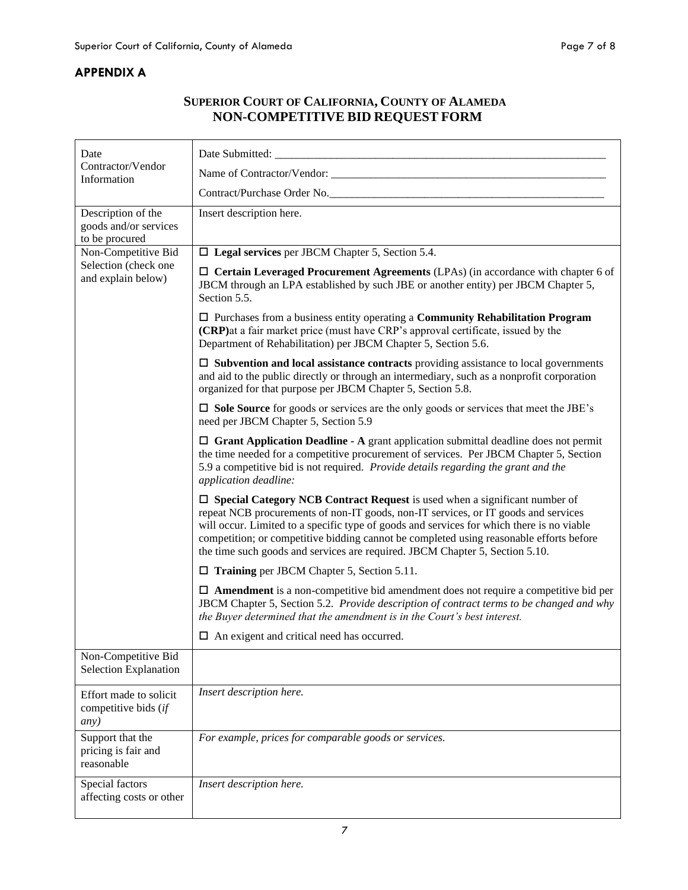## <span id="page-9-0"></span>**APPENDIX A**

# **SUPERIOR COURT OF CALIFORNIA, COUNTY OF ALAMEDA NON-COMPETITIVE BID REQUEST FORM**

| Date                                                   |                                                                                                                                                                                                                                                                                                                                                                                                                                                 |  |  |
|--------------------------------------------------------|-------------------------------------------------------------------------------------------------------------------------------------------------------------------------------------------------------------------------------------------------------------------------------------------------------------------------------------------------------------------------------------------------------------------------------------------------|--|--|
| Contractor/Vendor<br>Information                       |                                                                                                                                                                                                                                                                                                                                                                                                                                                 |  |  |
|                                                        | Contract/Purchase Order No.                                                                                                                                                                                                                                                                                                                                                                                                                     |  |  |
| Description of the                                     | Insert description here.                                                                                                                                                                                                                                                                                                                                                                                                                        |  |  |
| goods and/or services<br>to be procured                |                                                                                                                                                                                                                                                                                                                                                                                                                                                 |  |  |
| Non-Competitive Bid                                    | $\Box$ Legal services per JBCM Chapter 5, Section 5.4.                                                                                                                                                                                                                                                                                                                                                                                          |  |  |
| Selection (check one<br>and explain below)             | $\Box$ Certain Leveraged Procurement Agreements (LPAs) (in accordance with chapter 6 of<br>JBCM through an LPA established by such JBE or another entity) per JBCM Chapter 5,<br>Section 5.5.                                                                                                                                                                                                                                                   |  |  |
|                                                        | $\Box$ Purchases from a business entity operating a Community Rehabilitation Program<br>(CRP) at a fair market price (must have CRP's approval certificate, issued by the<br>Department of Rehabilitation) per JBCM Chapter 5, Section 5.6.                                                                                                                                                                                                     |  |  |
|                                                        | $\Box$ Subvention and local assistance contracts providing assistance to local governments<br>and aid to the public directly or through an intermediary, such as a nonprofit corporation<br>organized for that purpose per JBCM Chapter 5, Section 5.8.                                                                                                                                                                                         |  |  |
|                                                        | $\square$ Sole Source for goods or services are the only goods or services that meet the JBE's<br>need per JBCM Chapter 5, Section 5.9                                                                                                                                                                                                                                                                                                          |  |  |
|                                                        | $\Box$ Grant Application Deadline - A grant application submittal deadline does not permit<br>the time needed for a competitive procurement of services. Per JBCM Chapter 5, Section<br>5.9 a competitive bid is not required. Provide details regarding the grant and the<br>application deadline:                                                                                                                                             |  |  |
|                                                        | $\Box$ Special Category NCB Contract Request is used when a significant number of<br>repeat NCB procurements of non-IT goods, non-IT services, or IT goods and services<br>will occur. Limited to a specific type of goods and services for which there is no viable<br>competition; or competitive bidding cannot be completed using reasonable efforts before<br>the time such goods and services are required. JBCM Chapter 5, Section 5.10. |  |  |
|                                                        | $\Box$ Training per JBCM Chapter 5, Section 5.11.                                                                                                                                                                                                                                                                                                                                                                                               |  |  |
|                                                        | $\Box$ <b>Amendment</b> is a non-competitive bid amendment does not require a competitive bid per<br>JBCM Chapter 5, Section 5.2. Provide description of contract terms to be changed and why<br>the Buyer determined that the amendment is in the Court's best interest.                                                                                                                                                                       |  |  |
|                                                        | $\Box$ An exigent and critical need has occurred.                                                                                                                                                                                                                                                                                                                                                                                               |  |  |
| Non-Competitive Bid<br>Selection Explanation           |                                                                                                                                                                                                                                                                                                                                                                                                                                                 |  |  |
| Effort made to solicit<br>competitive bids (if<br>any) | Insert description here.                                                                                                                                                                                                                                                                                                                                                                                                                        |  |  |
| Support that the<br>pricing is fair and<br>reasonable  | For example, prices for comparable goods or services.                                                                                                                                                                                                                                                                                                                                                                                           |  |  |
| Special factors<br>affecting costs or other            | Insert description here.                                                                                                                                                                                                                                                                                                                                                                                                                        |  |  |